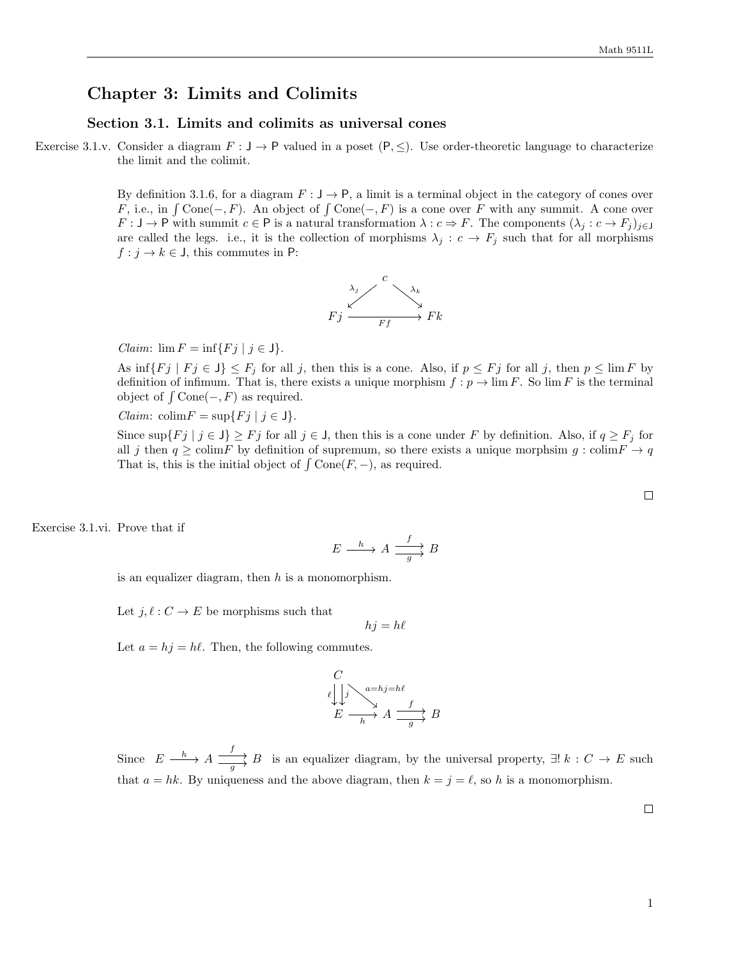# Chapter 3: Limits and Colimits

# Section 3.1. Limits and colimits as universal cones

Exercise 3.1.v. Consider a diagram  $F : J \to P$  valued in a poset  $(P, \leq)$ . Use order-theoretic language to characterize the limit and the colimit.

> By definition 3.1.6, for a diagram  $F : J \to P$ , a limit is a terminal object in the category of cones over F, i.e., in  $\int \text{Cone}(-, F)$ . An object of  $\int \text{Cone}(-, F)$  is a cone over F with any summit. A cone over  $F: \mathsf{J} \to \mathsf{P}$  with summit  $c \in \mathsf{P}$  is a natural transformation  $\lambda: c \Rightarrow F$ . The components  $(\lambda_j: c \to F_j)_{j \in \mathsf{J}}$ are called the legs. i.e., it is the collection of morphisms  $\lambda_j : c \to F_j$  such that for all morphisms  $f : j \to k \in J$ , this commutes in P:



Claim:  $\lim F = \inf \{ Fj \mid j \in J \}.$ 

As  $\inf\{Fj \mid Fj \in J\} \leq F_j$  for all j, then this is a cone. Also, if  $p \leq F_j$  for all j, then  $p \leq \lim F$  by definition of infimum. That is, there exists a unique morphism  $f : p \to \lim F$ . So  $\lim F$  is the terminal object of  $\int$  Cone $(-, F)$  as required.

Claim: colim $F = \sup\{Fj \mid j \in J\}.$ 

Since  $\sup\{Fj \mid j \in J\} \geq Fj$  for all  $j \in J$ , then this is a cone under F by definition. Also, if  $q \geq F_j$  for all j then  $q \ge \text{colim} F$  by definition of supremum, so there exists a unique morphsim  $q$ : colim $F \to q$ That is, this is the initial object of  $\int \text{Cone}(F, -)$ , as required.

Exercise 3.1.vi. Prove that if

$$
E \xrightarrow{h} A \xrightarrow{f} B
$$

is an equalizer diagram, then  $h$  is a monomorphism.

Let  $j, \ell : C \to E$  be morphisms such that

$$
hj = h\ell
$$

Let  $a = hj = h\ell$ . Then, the following commutes.

$$
\begin{array}{ccc}\nC & & \\
\ell & \downarrow & \searrow & \\
E & \longrightarrow & A \xrightarrow{f} & \\
\hline\n\end{array} B
$$

Since  $E \xrightarrow{h} A \xrightarrow{f} B$  $\overrightarrow{g}$  is an equalizer diagram, by the universal property,  $\exists ! k : C \rightarrow E$  such that  $a = hk$ . By uniqueness and the above diagram, then  $k = j = \ell$ , so h is a monomorphism.

 $\Box$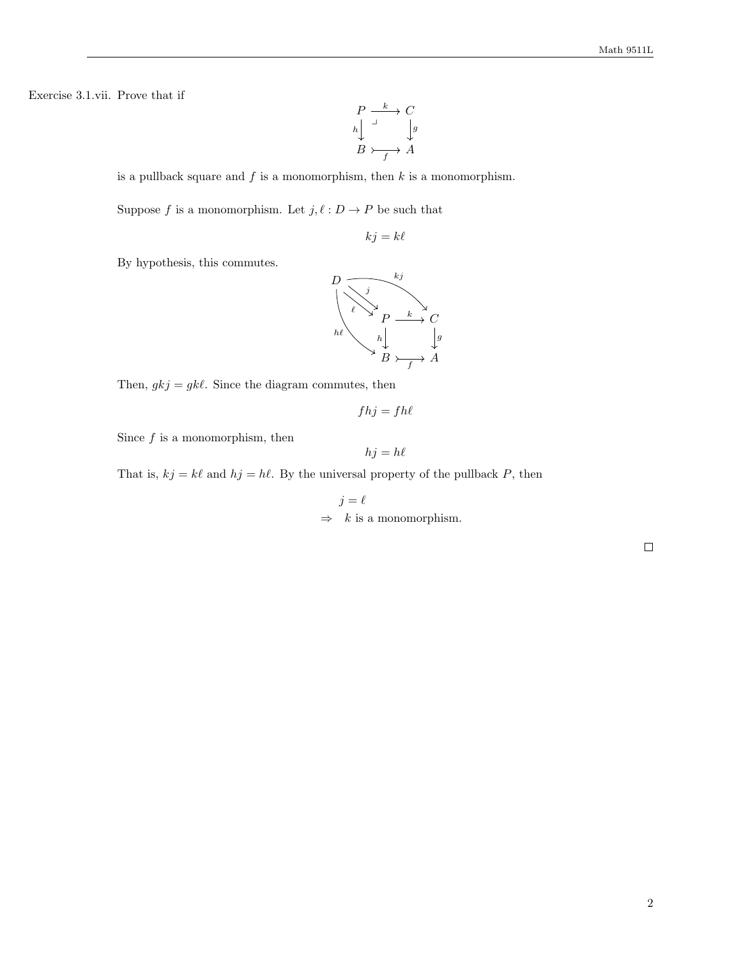Exercise 3.1.vii. Prove that if

$$
\begin{array}{ccc}\nP & \xrightarrow{k} & C \\
h & \downarrow & \downarrow g \\
B & \xrightarrow{f} & A\n\end{array}
$$

is a pullback square and  $f$  is a monomorphism, then  $k$  is a monomorphism.

Suppose  $f$  is a monomorphism. Let  $j, \ell : D \to P$  be such that

 $kj = k\ell$ 

By hypothesis, this commutes.



Then,  $gkj = gk\ell$ . Since the diagram commutes, then

$$
fhj=fh\ell
$$

Since  $f$  is a monomorphism, then

$$
hj = h\ell
$$

That is,  $kj = k\ell$  and  $hj = h\ell$ . By the universal property of the pullback P, then

 $j = \ell$  $\Rightarrow$  k is a monomorphism.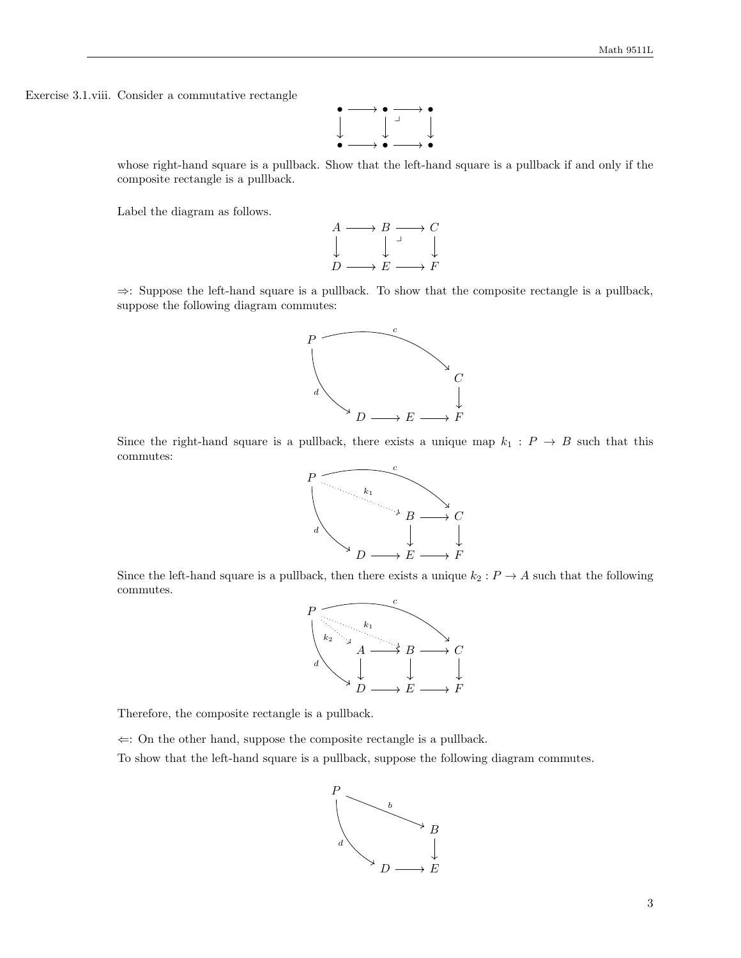Exercise 3.1.viii. Consider a commutative rectangle



whose right-hand square is a pullback. Show that the left-hand square is a pullback if and only if the composite rectangle is a pullback.

Label the diagram as follows.



⇒: Suppose the left-hand square is a pullback. To show that the composite rectangle is a pullback, suppose the following diagram commutes:



Since the right-hand square is a pullback, there exists a unique map  $k_1 : P \to B$  such that this commutes:



Since the left-hand square is a pullback, then there exists a unique  $k_2 : P \to A$  such that the following commutes.



Therefore, the composite rectangle is a pullback.

 $\Leftarrow$ : On the other hand, suppose the composite rectangle is a pullback.

To show that the left-hand square is a pullback, suppose the following diagram commutes.

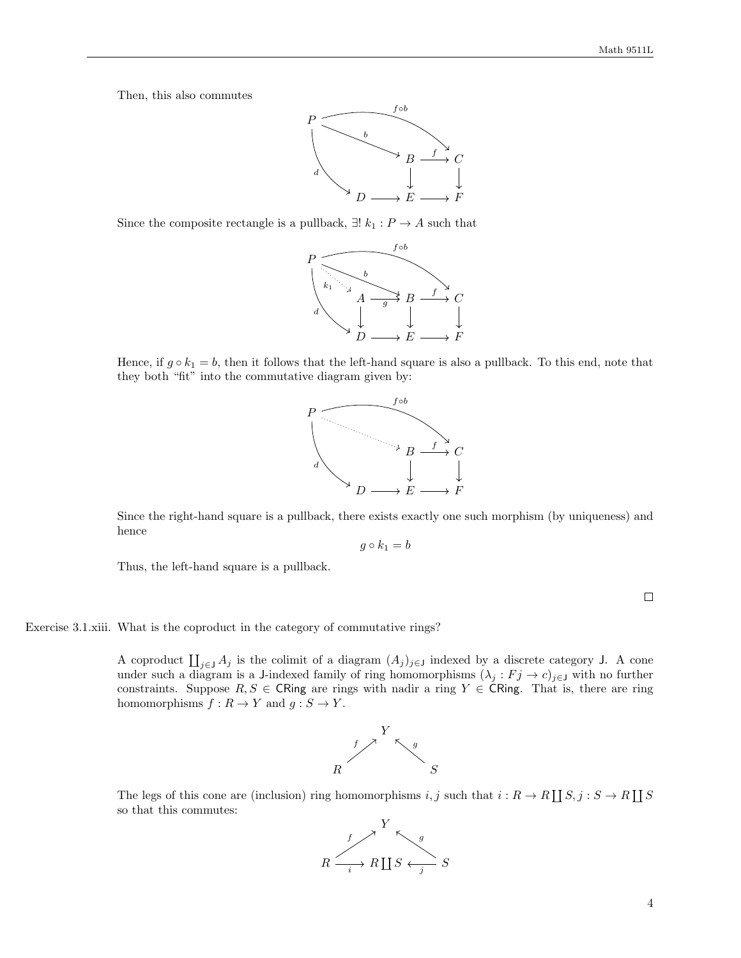Then, this also commutes



Since the composite rectangle is a pullback,  $\exists ! k_1 : P \to A$  such that



Hence, if  $g \circ k_1 = b$ , then it follows that the left-hand square is also a pullback. To this end, note that they both "fit" into the commutative diagram given by:



Since the right-hand square is a pullback, there exists exactly one such morphism (by uniqueness) and hence

$$
g\circ k_1=b
$$

Thus, the left-hand square is a pullback.

 $\Box$ 

Exercise 3.1.xiii. What is the coproduct in the category of commutative rings?

A coproduct  $\coprod_{j\in J} A_j$  is the colimit of a diagram  $(A_j)_{j\in J}$  indexed by a discrete category J. A cone under such a diagram is a J-indexed family of ring homomorphisms  $(\lambda_j : F_j \to c)_{j \in J}$  with no further constraints. Suppose  $R, S \in \mathsf{CRing}$  are rings with nadir a ring  $Y \in \mathsf{CRing}$ . That is, there are ring homomorphisms  $f : R \to Y$  and  $g : S \to Y$ .



The legs of this cone are (inclusion) ring homomorphisms i, j such that  $i : R \to R \coprod S, j : S \to R \coprod S$ so that this commutes:

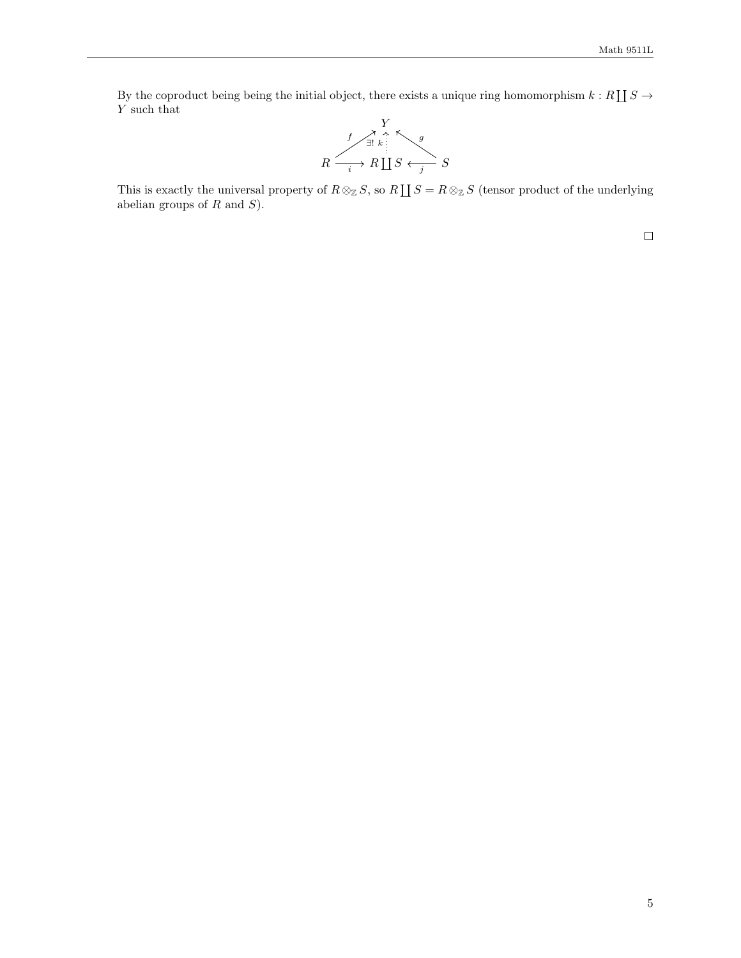By the coproduct being being the initial object, there exists a unique ring homomorphism  $k : R \coprod S \to$ Y such that



This is exactly the universal property of  $R \otimes_{\mathbb{Z}} S$ , so  $R \coprod S = R \otimes_{\mathbb{Z}} S$  (tensor product of the underlying abelian groups of  $R$  and  $S$ ).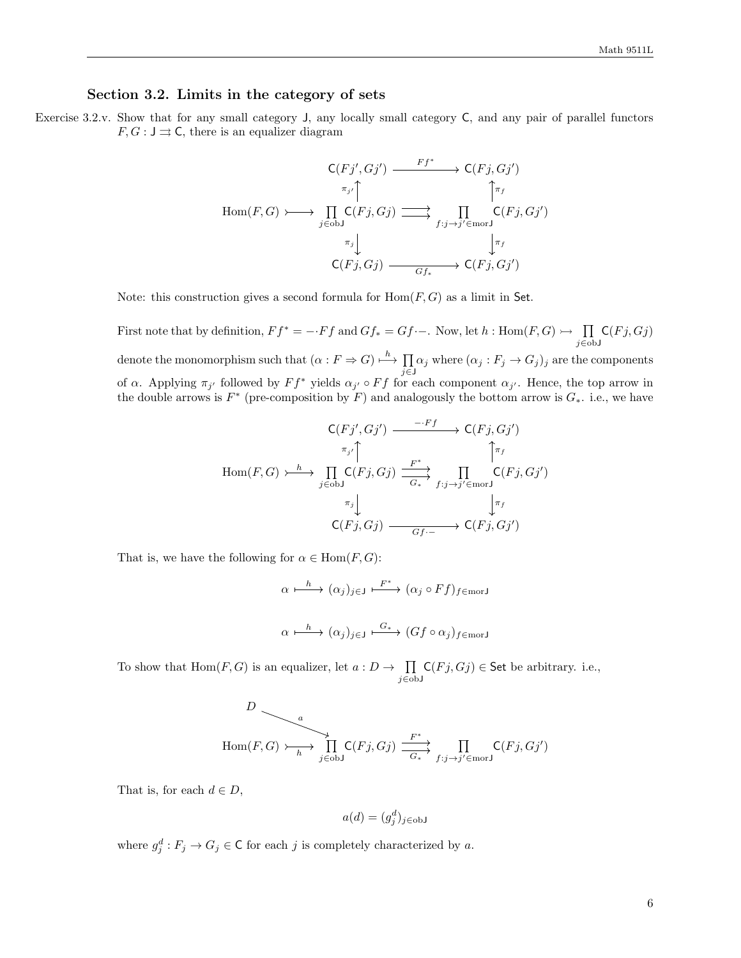# Section 3.2. Limits in the category of sets

Exercise 3.2.v. Show that for any small category J, any locally small category C, and any pair of parallel functors  $F, G: J \rightrightarrows C$ , there is an equalizer diagram

$$
\operatorname{Hom}(F,G) \longrightarrow \begin{array}{c} \mathsf{C}(Fj',Gj') \xrightarrow{Ff^*} & \mathsf{C}(Fj,Gj')\\ \pi_{j'} \uparrow & \uparrow \pi_f\\ \operatorname{Hom}(F,G) \longmapsto \prod_{j \in \text{obj}} \mathsf{C}(Fj,Gj) \xrightarrow{\longrightarrow} \prod_{f:j \to j' \in \text{morJ}} \mathsf{C}(Fj,Gj')\\ \pi_j \downarrow & \downarrow \pi_f\\ \mathsf{C}(Fj,Gj) \xrightarrow{\longrightarrow} \mathsf{C}(Fj,Gj') \end{array}
$$

Note: this construction gives a second formula for  $Hom(F, G)$  as a limit in Set.

First note that by definition,  $F f^* = -F f$  and  $Gf_* = Gf - \dots$ . Now, let  $h : \text{Hom}(F, G) \rightarrow \prod$ j∈obJ  $\mathsf{C}(Fj,Gj)$ denote the monomorphism such that  $(\alpha : F \Rightarrow G) \stackrel{h}{\longmapsto} \prod$  $\prod_{j\in J} \alpha_j$  where  $(\alpha_j : F_j \to G_j)_j$  are the components of  $\alpha$ . Applying  $\pi_{j'}$  followed by  $F f^*$  yields  $\alpha_{j'} \circ F f$  for each component  $\alpha_{j'}$ . Hence, the top arrow in the double arrows is  $F^*$  (pre-composition by F) and analogously the bottom arrow is  $G_*$ . i.e., we have

$$
\mathsf{Hom}(F,G) \xrightarrow{\hbar} \prod_{j \in \text{obj}} \mathsf{C}(Fj,Gj) \xrightarrow{\hbar^*} \prod_{j \in \text{obj}} \mathsf{C}(Fj,Gj) \xrightarrow{\hbar^*} \prod_{f:j \to j' \in \text{morJ}} \mathsf{C}(Fj,Gj')
$$
\n
$$
\xrightarrow{\pi_j} \bigcup_{j \in \text{obj}} \mathsf{C}(Fj,Gj) \xrightarrow{\hbar^*} \prod_{f:j \to j' \in \text{morJ}} \mathsf{C}(Fj,Gj')
$$

That is, we have the following for  $\alpha \in \text{Hom}(F, G)$ :

$$
\alpha \xrightarrow{h} (\alpha_j)_{j \in J} \xrightarrow{F^*} (\alpha_j \circ Ff)_{f \in \text{morJ}}
$$
  

$$
\alpha \xrightarrow{h} (\alpha_j)_{j \in J} \xrightarrow{G_*} (Gf \circ \alpha_j)_{f \in \text{morJ}}
$$

To show that  $Hom(F, G)$  is an equalizer, let  $a: D \to \prod$ j∈obJ  $\mathsf{C}(Fj,Gj) \in \mathsf{Set}$  be arbitrary. i.e.,

$$
D \longrightarrow a
$$
  
Hom $(F, G) \longrightarrow \prod_{h \text{ is odd}}^{n} C(Fj, Gj) \xrightarrow{F^*} \prod_{f:j \to j' \in \text{morJ}} C(Fj, Gj')$ 

That is, for each  $d \in D$ ,

$$
a(d) = (g_j^d)_{j \in \text{obj}}
$$

where  $g_j^d : F_j \to G_j \in \mathbb{C}$  for each j is completely characterized by a.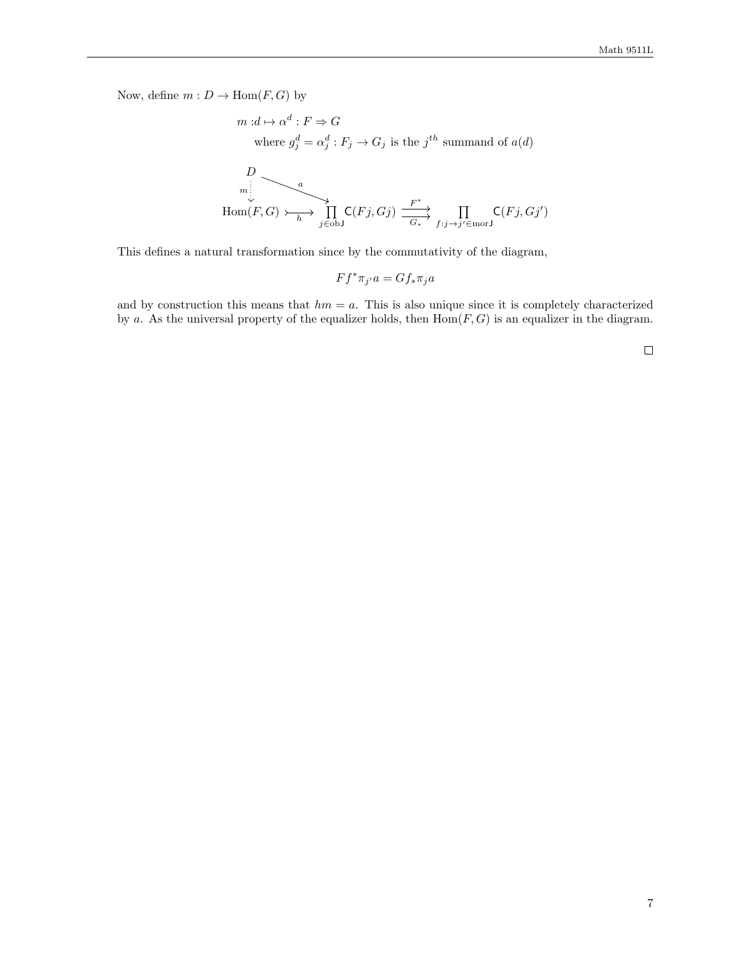Now, define  $m: D \to \text{Hom}(F, G)$  by

$$
m: d \mapsto \alpha^d: F \Rightarrow G
$$
  
where  $g_j^d = \alpha_j^d: F_j \to G_j$  is the  $j^{th}$  summand of  $a(d)$   

$$
\downarrow D
$$
  

$$
\downarrow D
$$
  
Hom $(F, G) \rightarrow \downarrow D$   

$$
\downarrow D
$$
  

$$
\downarrow D
$$
  

$$
\downarrow D
$$
  

$$
\downarrow D
$$
  

$$
\downarrow D
$$
  

$$
\downarrow D
$$
  

$$
\downarrow D
$$
  

$$
\downarrow D
$$
  

$$
\downarrow D
$$
  

$$
\downarrow D
$$
  

$$
\downarrow D
$$
  

$$
\downarrow D
$$
  

$$
\downarrow D
$$
  

$$
\downarrow D
$$
  

$$
\downarrow D
$$
  

$$
\downarrow D
$$
  

$$
\downarrow D
$$
  

$$
\downarrow D
$$
  

$$
\downarrow D
$$
  

$$
\downarrow D
$$
  

$$
\downarrow D
$$
  

$$
\downarrow D
$$
  

$$
\downarrow D
$$
  

$$
\downarrow D
$$
  

$$
\downarrow D
$$
  

$$
\downarrow D
$$
  

$$
\downarrow D
$$
  

$$
\downarrow D
$$
  

$$
\downarrow D
$$
  

$$
\downarrow D
$$
  

$$
\downarrow D
$$
  

$$
\downarrow D
$$
  

$$
\downarrow D
$$
  

$$
\downarrow D
$$
  

$$
\downarrow D
$$
  

$$
\downarrow D
$$
  

$$
\downarrow D
$$
  

$$
\downarrow D
$$
  

$$
\downarrow D
$$
  

$$
\downarrow D
$$
  

$$
\downarrow D
$$
  

$$
\downarrow D
$$
  

$$
\downarrow D
$$
  

$$
\downarrow D
$$
  

$$
\downarrow D
$$
  

$$
\downarrow D
$$
  

$$
\downarrow D
$$
  

$$
\downarrow D
$$
  

$$
\downarrow D
$$
  

$$
\downarrow D
$$
<

This defines a natural transformation since by the commutativity of the diagram,

 $Ff^*\pi_{j'}a = Gf_*\pi_j a$ 

and by construction this means that  $hm = a$ . This is also unique since it is completely characterized by a. As the universal property of the equalizer holds, then  $Hom(F, G)$  is an equalizer in the diagram.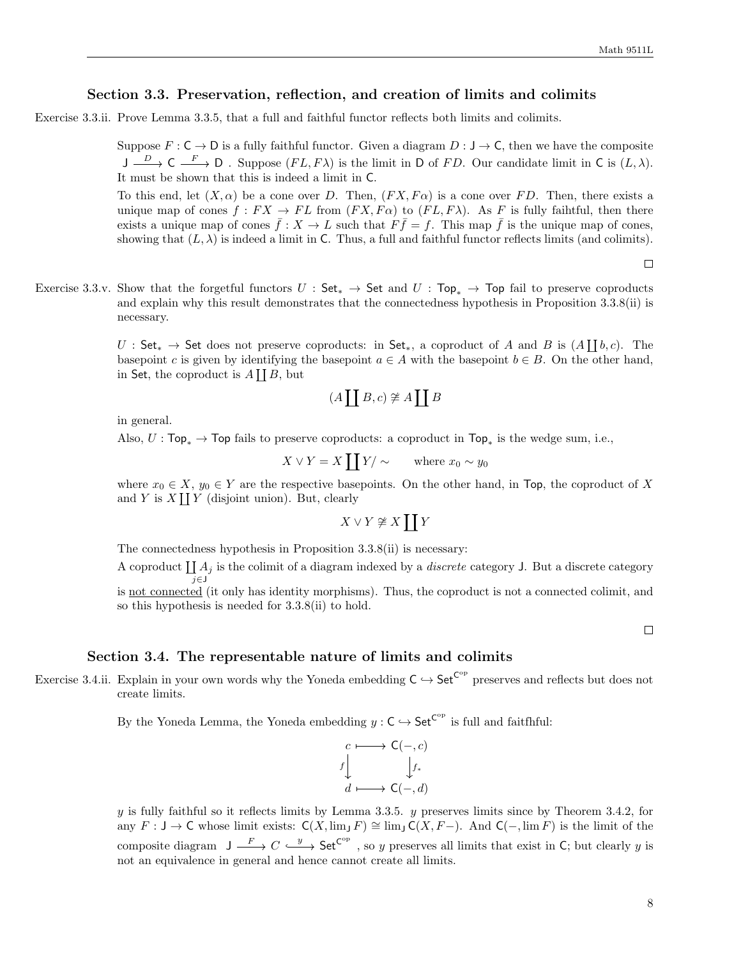# Section 3.3. Preservation, reflection, and creation of limits and colimits

Exercise 3.3.ii. Prove Lemma 3.3.5, that a full and faithful functor reflects both limits and colimits.

Suppose  $F : \mathsf{C} \to \mathsf{D}$  is a fully faithful functor. Given a diagram  $D : \mathsf{J} \to \mathsf{C}$ , then we have the composite  $J \xrightarrow{D} C \xrightarrow{F} D$ . Suppose  $(FL, F\lambda)$  is the limit in D of FD. Our candidate limit in C is  $(L, \lambda)$ . It must be shown that this is indeed a limit in C.

To this end, let  $(X, \alpha)$  be a cone over D. Then,  $(FX, F\alpha)$  is a cone over FD. Then, there exists a unique map of cones  $f: FX \to FL$  from  $(FX, Fa)$  to  $(FL, F\lambda)$ . As F is fully faihtful, then there exists a unique map of cones  $\bar{f}: X \to L$  such that  $F\bar{f} = f$ . This map  $\bar{f}$  is the unique map of cones, showing that  $(L, \lambda)$  is indeed a limit in C. Thus, a full and faithful functor reflects limits (and colimits).

 $\Box$ 

Exercise 3.3.v. Show that the forgetful functors  $U : \mathsf{Set}_* \to \mathsf{Set}$  and  $U : \mathsf{Top}_* \to \mathsf{Top}$  fail to preserve coproducts and explain why this result demonstrates that the connectedness hypothesis in Proposition 3.3.8(ii) is necessary.

> U: Set<sub>\*</sub>  $\rightarrow$  Set does not preserve coproducts: in Set<sub>\*</sub>, a coproduct of A and B is  $(A \coprod b, c)$ . The basepoint c is given by identifying the basepoint  $a \in A$  with the basepoint  $b \in B$ . On the other hand, in Set, the coproduct is  $A[[B, but$

$$
(A \coprod B, c) \not\cong A \coprod B
$$

in general.

Also,  $U: \text{Top}_* \to \text{Top}$  fails to preserve coproducts: a coproduct in  $\text{Top}_*$  is the wedge sum, i.e.,

$$
X \vee Y = X \coprod Y / \sim \qquad \text{where } x_0 \sim y_0
$$

where  $x_0 \in X$ ,  $y_0 \in Y$  are the respective basepoints. On the other hand, in Top, the coproduct of X and Y is  $X \coprod Y$  (disjoint union). But, clearly

$$
X\vee Y\not\cong X\coprod Y
$$

The connectedness hypothesis in Proposition 3.3.8(ii) is necessary:

A coproduct  $\coprod A_j$  is the colimit of a diagram indexed by a *discrete* category J. But a discrete category j∈J is not connected (it only has identity morphisms). Thus, the coproduct is not a connected colimit, and so this hypothesis is needed for 3.3.8(ii) to hold.

 $\Box$ 

# Section 3.4. The representable nature of limits and colimits

Exercise 3.4.ii. Explain in your own words why the Yoneda embedding  $C \hookrightarrow$  Set<sup> $C^{op}$ </sup> preserves and reflects but does not create limits.

By the Yoneda Lemma, the Yoneda embedding  $y : \mathsf{C} \hookrightarrow \mathsf{Set}^{\mathsf{C}^{\mathrm{op}}}$  is full and faitfhful:



 $y$  is fully faithful so it reflects limits by Lemma 3.3.5.  $y$  preserves limits since by Theorem 3.4.2, for any  $F: J \to \mathsf{C}$  whose limit exists:  $\mathsf{C}(X, \lim J F) \cong \lim J \mathsf{C}(X, F-)$ . And  $\mathsf{C}(-, \lim F)$  is the limit of the composite diagram  $J \xrightarrow{F} C \xrightarrow{y} \mathsf{Set}^{\mathsf{C}^{\mathrm{op}}}$ , so y preserves all limits that exist in C; but clearly y is not an equivalence in general and hence cannot create all limits.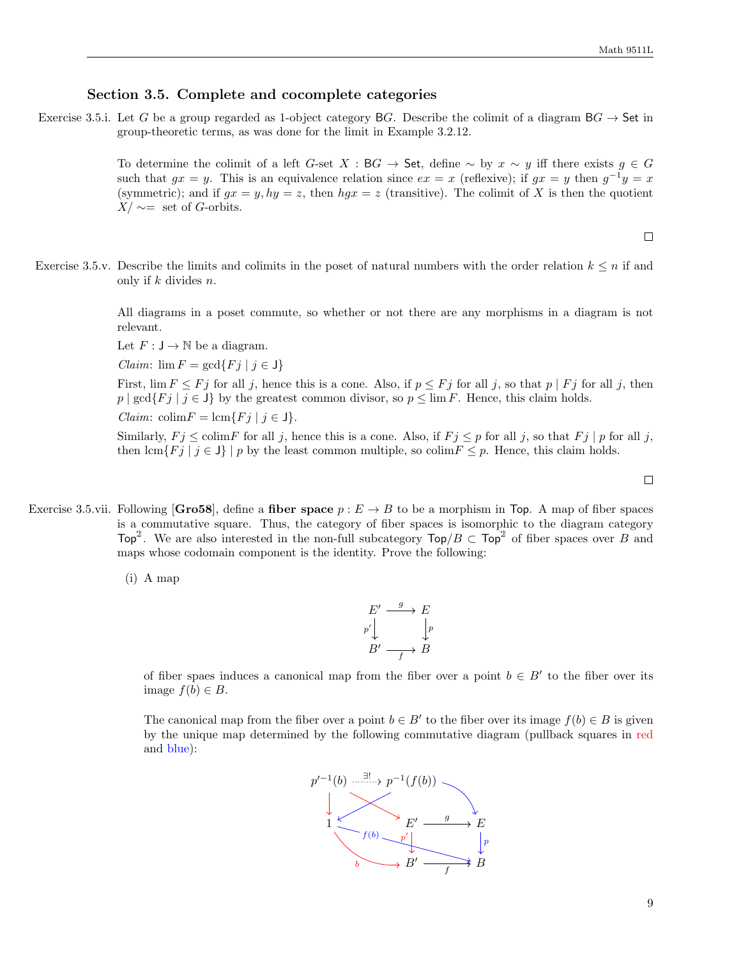#### Section 3.5. Complete and cocomplete categories

Exercise 3.5.i. Let G be a group regarded as 1-object category BG. Describe the colimit of a diagram  $BG \rightarrow$  Set in group-theoretic terms, as was done for the limit in Example 3.2.12.

> To determine the colimit of a left G-set X : BG  $\rightarrow$  Set, define  $\sim$  by  $x \sim y$  iff there exists  $g \in G$ such that  $gx = y$ . This is an equivalence relation since  $ex = x$  (reflexive); if  $gx = y$  then  $g^{-1}y = x$ (symmetric); and if  $gx = y$ ,  $hy = z$ , then  $hgx = z$  (transitive). The colimit of X is then the quotient  $X/\sim$ = set of G-orbits.

> > $\Box$

Exercise 3.5.v. Describe the limits and colimits in the poset of natural numbers with the order relation  $k \leq n$  if and only if k divides n.

> All diagrams in a poset commute, so whether or not there are any morphisms in a diagram is not relevant.

Let  $F: \mathsf{J} \to \mathbb{N}$  be a diagram.

Claim:  $\lim F = \gcd\{Fj \mid j \in J\}$ 

First,  $\lim F \leq Fj$  for all j, hence this is a cone. Also, if  $p \leq Fj$  for all j, so that p | Fj for all j, then  $p | gcd{Fj | j \in J}$  by the greatest common divisor, so  $p \leq \lim F$ . Hence, this claim holds. Claim: colim $F = \text{lcm}\{Fj \mid j \in J\}.$ 

Similarly,  $F_j \leq \text{colim} F$  for all j, hence this is a cone. Also, if  $F_j \leq p$  for all j, so that  $F_j | p$  for all j, then  $\text{lcm}\{Fj \mid j \in J\}$  p by the least common multiple, so  $\text{colim} F \leq p$ . Hence, this claim holds.

 $\Box$ 

Exercise 3.5.vii. Following [Gro58], define a fiber space  $p : E \to B$  to be a morphism in Top. A map of fiber spaces is a commutative square. Thus, the category of fiber spaces is isomorphic to the diagram category Top<sup>2</sup>. We are also interested in the non-full subcategory  $\text{Top}/B \subset \text{Top}^2$  of fiber spaces over B and maps whose codomain component is the identity. Prove the following:

(i) A map



of fiber spaes induces a canonical map from the fiber over a point  $b \in B'$  to the fiber over its image  $f(b) \in B$ .

The canonical map from the fiber over a point  $b \in B'$  to the fiber over its image  $f(b) \in B$  is given by the unique map determined by the following commutative diagram (pullback squares in red and blue):

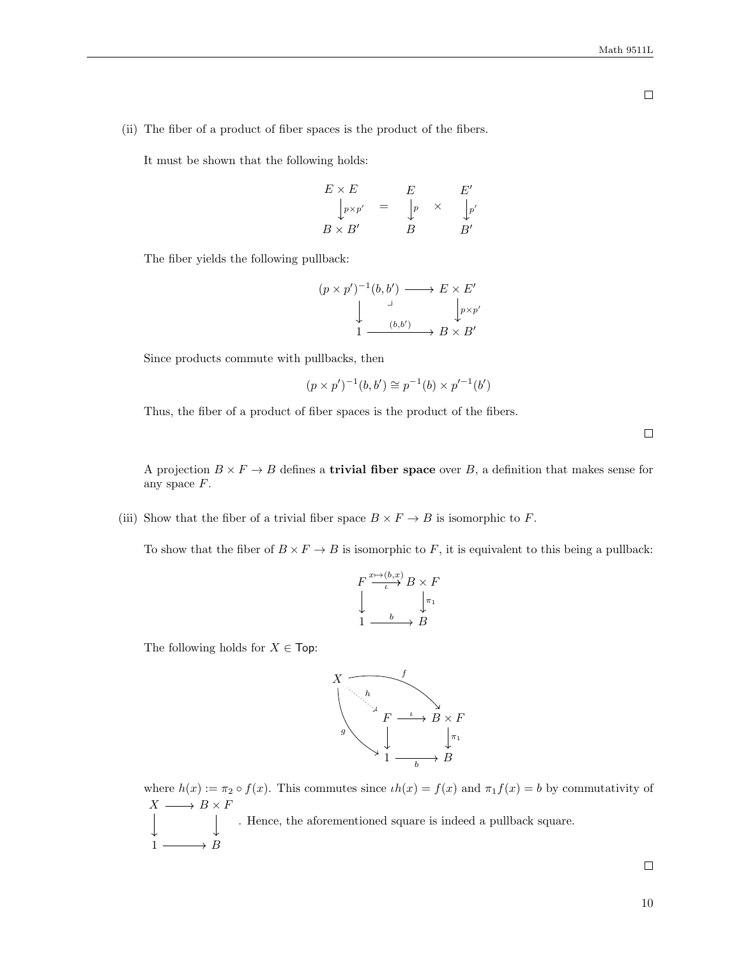(ii) The fiber of a product of fiber spaces is the product of the fibers.

It must be shown that the following holds:

$$
E \times E
$$
  
\n
$$
\downarrow_{p \times p'} = E
$$
  
\n
$$
B \times B'
$$
  
\n
$$
E'
$$
  
\n
$$
\downarrow_{p'}
$$
  
\n
$$
E'
$$
  
\n
$$
\downarrow_{p'}
$$
  
\n
$$
B'
$$
  
\n
$$
E'
$$
  
\n
$$
\downarrow_{p'}
$$

The fiber yields the following pullback:

$$
(p \times p')^{-1}(b, b') \longrightarrow E \times E'
$$
  
\n
$$
\downarrow \qquad \qquad \downarrow \qquad \qquad \downarrow \qquad \downarrow \qquad \downarrow \qquad \downarrow \qquad \downarrow \qquad \downarrow \qquad \downarrow \qquad \downarrow \qquad \downarrow \qquad \downarrow \qquad \downarrow \qquad \downarrow \qquad \downarrow \qquad \downarrow \qquad \downarrow \qquad \downarrow \qquad \downarrow \qquad \downarrow \qquad \downarrow \qquad \downarrow \qquad \downarrow \qquad \downarrow \qquad \downarrow \qquad \downarrow \qquad \downarrow \qquad \downarrow \qquad \downarrow \qquad \downarrow \qquad \downarrow \qquad \downarrow \qquad \downarrow \qquad \downarrow \qquad \downarrow \qquad \downarrow \qquad \downarrow \qquad \downarrow \qquad \downarrow \qquad \downarrow \qquad \downarrow \qquad \downarrow \qquad \downarrow \qquad \downarrow \qquad \downarrow \qquad \downarrow \qquad \downarrow \qquad \downarrow \qquad \downarrow \qquad \downarrow \qquad \downarrow \qquad \downarrow \qquad \downarrow \qquad \downarrow \qquad \downarrow \qquad \downarrow \qquad \downarrow \qquad \downarrow \qquad \downarrow \qquad \downarrow \qquad \downarrow \qquad \downarrow \qquad \downarrow \qquad \downarrow \qquad \downarrow \qquad \downarrow \qquad \downarrow \qquad \downarrow \qquad \downarrow \qquad \downarrow \qquad \downarrow \qquad \downarrow \qquad \downarrow \qquad \downarrow \qquad \downarrow \qquad \downarrow \qquad \downarrow \qquad \downarrow \qquad \downarrow \qquad \downarrow \qquad \downarrow \qquad \downarrow \qquad \downarrow \qquad \downarrow \qquad \downarrow \qquad \downarrow \qquad \downarrow \qquad \downarrow \qquad \downarrow \qquad \downarrow \qquad \downarrow \qquad \downarrow \qquad \downarrow \qquad \downarrow \qquad \downarrow \qquad \downarrow \qquad \downarrow \qquad \downarrow \qquad \downarrow \qquad \downarrow \qquad \downarrow \qquad \downarrow \qquad \downarrow \qquad \downarrow \qquad \downarrow \qquad \downarrow \qquad \downarrow \qquad \downarrow \qquad \downarrow \qquad \downarrow \qquad \downarrow \qquad \downarrow \qquad \downarrow \qquad \downarrow \qquad \downarrow \qquad \downarrow \qquad \downarrow \qquad \downarrow \qquad \downarrow \qquad \downarrow \qquad \downarrow \
$$

Since products commute with pullbacks, then

$$
(p \times p')^{-1}(b, b') \cong p^{-1}(b) \times p'^{-1}(b')
$$

Thus, the fiber of a product of fiber spaces is the product of the fibers.

 $\Box$ 

A projection  $B \times F \to B$  defines a **trivial fiber space** over B, a definition that makes sense for any space F.

(iii) Show that the fiber of a trivial fiber space  $B \times F \to B$  is isomorphic to F.

To show that the fiber of  $B \times F \to B$  is isomorphic to F, it is equivalent to this being a pullback:



The following holds for  $X \in \mathsf{Top}$ :



where  $h(x) := \pi_2 \circ f(x)$ . This commutes since  $\iota h(x) = f(x)$  and  $\pi_1 f(x) = b$  by commutativity of  $X \longrightarrow B \times F$  $\downarrow$ . Hence, the aforementioned square is indeed a pullback square.  $1 \longrightarrow B$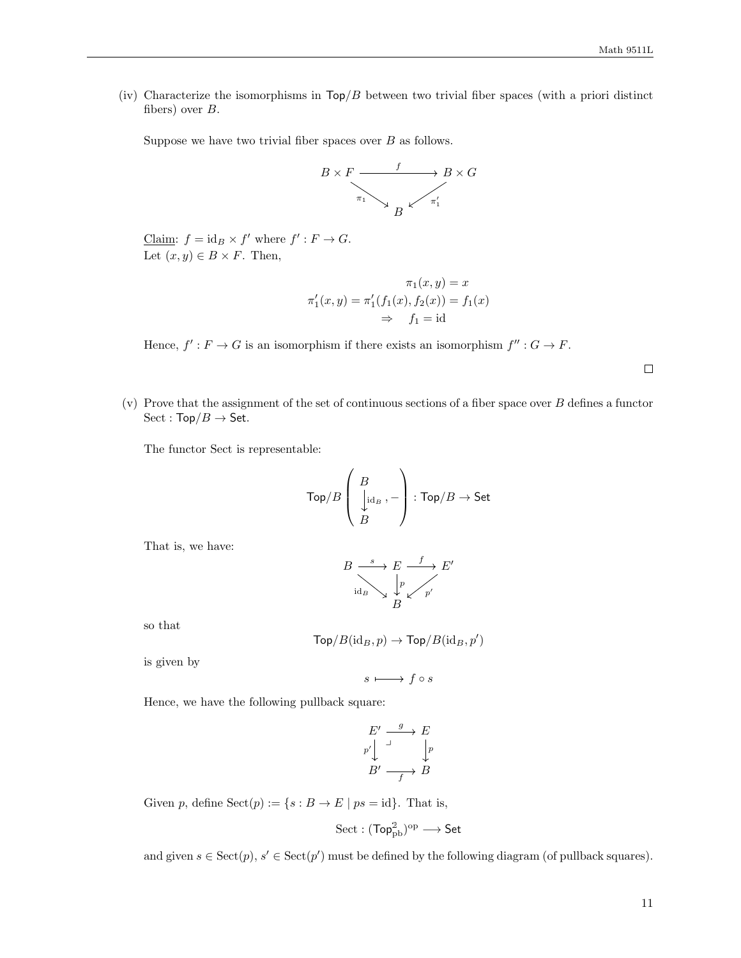(iv) Characterize the isomorphisms in  $\text{Top}/B$  between two trivial fiber spaces (with a priori distinct fibers) over B.

Suppose we have two trivial fiber spaces over  $B$  as follows.



Claim:  $f = id_B \times f'$  where  $f' : F \to G$ . Let  $(x, y) \in B \times F$ . Then,

$$
\pi_1(x, y) = x
$$
  
\n
$$
\pi'_1(x, y) = \pi'_1(f_1(x), f_2(x)) = f_1(x)
$$
  
\n
$$
\Rightarrow f_1 = id
$$

Hence,  $f': F \to G$  is an isomorphism if there exists an isomorphism  $f'' : G \to F$ .

 $\Box$ 

(v) Prove that the assignment of the set of continuous sections of a fiber space over  $B$  defines a functor  $Sect : Top/B \rightarrow Set.$ 

The functor Sect is representable:

$$
\mathsf{Top}/B\left(\begin{array}{c} B \\ \bigcup\limits_{B}^{\mathsf{I}}\mathrm{id}_B \end{array},-\right):\mathsf{Top}/B\to\mathsf{Set}
$$

That is, we have:

$$
B \xrightarrow{\ s \ } E \xrightarrow{\ f \ } E'
$$
  
id<sub>B</sub>  $\downarrow p \qquad p'$ 

so that

$$
\mathsf{Top}/B(\mathrm{id}_B,p)\to \mathsf{Top}/B(\mathrm{id}_B,p')
$$

is given by

$$
s\longmapsto f\circ s
$$

Hence, we have the following pullback square:

$$
E' \xrightarrow{g} E
$$
  
\n
$$
p' \downarrow \qquad \qquad \downarrow p
$$
  
\n
$$
B' \xrightarrow{g} B
$$

Given p, define  $Sect(p) := \{ s : B \to E \mid ps = id \}.$  That is,

$$
\mathrm{Sect} : (\mathsf{Top}^2_{\mathrm{pb}})^{\mathrm{op}} \longrightarrow \mathsf{Set}
$$

and given  $s \in \text{Sect}(p)$ ,  $s' \in \text{Sect}(p')$  must be defined by the following diagram (of pullback squares).